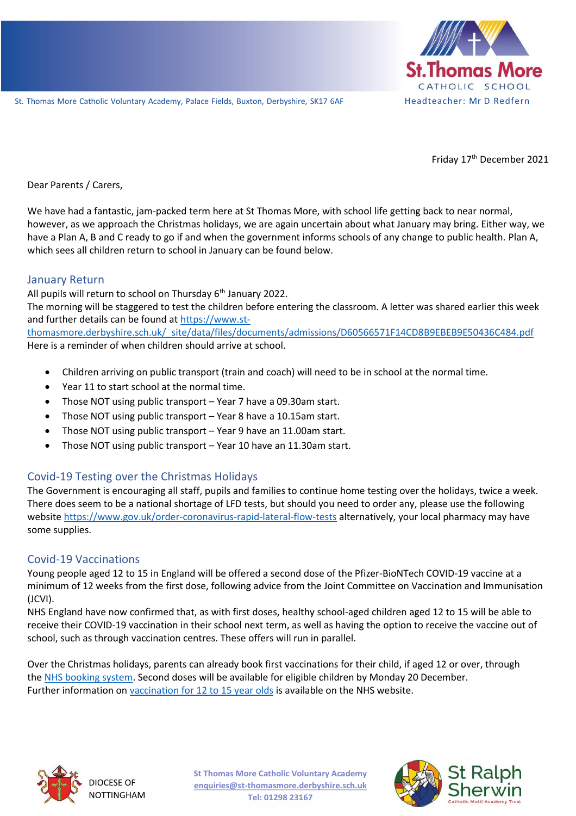

Friday 17<sup>th</sup> December 2021

St. Th omas Mor e Catholic Vol un tary Acad em y, Palace Fields, Buxton, Derb yshir e, SK17 6AF H ea d t ea ch er : M r D Red f er n Dear Parents / Carers,

We have had a fantastic, jam-packed term here at St Thomas More, with school life getting back to near normal, however, as we approach the Christmas holidays, we are again uncertain about what January may bring. Either way, we have a Plan A, B and C ready to go if and when the government informs schools of any change to public health. Plan A, which sees all children return to school in January can be found below.

### January Return

All pupils will return to school on Thursday  $6<sup>th</sup>$  January 2022.

The morning will be staggered to test the children before entering the classroom. A letter was shared earlier this week and further details can be found at [https://www.st-](https://www.st-thomasmore.derbyshire.sch.uk/_site/data/files/documents/admissions/D60566571F14CD8B9EBEB9E50436C484.pdf)

[thomasmore.derbyshire.sch.uk/\\_site/data/files/documents/admissions/D60566571F14CD8B9EBEB9E50436C484.pdf](https://www.st-thomasmore.derbyshire.sch.uk/_site/data/files/documents/admissions/D60566571F14CD8B9EBEB9E50436C484.pdf) Here is a reminder of when children should arrive at school.

- Children arriving on public transport (train and coach) will need to be in school at the normal time.
- Year 11 to start school at the normal time.
- Those NOT using public transport Year 7 have a 09.30am start.
- Those NOT using public transport Year 8 have a 10.15am start.
- Those NOT using public transport Year 9 have an 11.00am start.
- Those NOT using public transport Year 10 have an 11.30am start.

# Covid-19 Testing over the Christmas Holidays

The Government is encouraging all staff, pupils and families to continue home testing over the holidays, twice a week. There does seem to be a national shortage of LFD tests, but should you need to order any, please use the following website<https://www.gov.uk/order-coronavirus-rapid-lateral-flow-tests> alternatively, your local pharmacy may have some supplies.

#### Covid-19 Vaccinations

Young people aged 12 to 15 in England will be offered a second dose of the Pfizer-BioNTech COVID-19 vaccine at a minimum of 12 weeks from the first dose, following advice from the Joint Committee on Vaccination and Immunisation (JCVI).

NHS England have now confirmed that, as with first doses, healthy school-aged children aged 12 to 15 will be able to receive their COVID-19 vaccination in their school next term, as well as having the option to receive the vaccine out of school, such as through vaccination centres. These offers will run in parallel.

Over the Christmas holidays, parents can already book first vaccinations for their child, if aged 12 or over, through the [NHS booking system.](https://www.nhs.uk/conditions/coronavirus-covid-19/coronavirus-vaccination/book-coronavirus-vaccination/?utm_source=14%20December%202021%20C19&utm_medium=Daily%20Email%20C19&utm_campaign=DfE%20C19) Second doses will be available for eligible children by Monday 20 December. Further information on [vaccination for 12 to 15 year olds](https://www.nhs.uk/conditions/coronavirus-covid-19/coronavirus-vaccination/coronavirus-vaccine-for-children-aged-12-to-15/?utm_source=14%20December%202021%20C19&utm_medium=Daily%20Email%20C19&utm_campaign=DfE%20C19) is available on the NHS website.